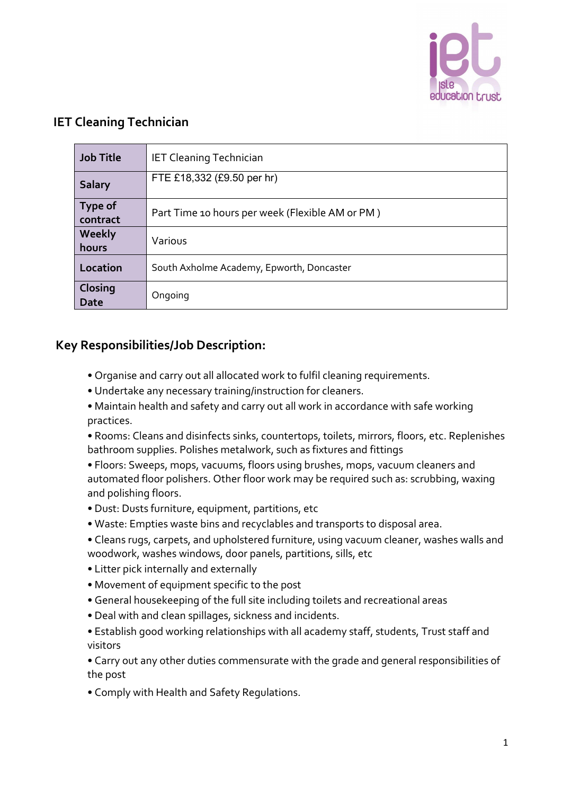

## **IET Cleaning Technician**

| <b>Job Title</b>           | <b>IET Cleaning Technician</b>                  |
|----------------------------|-------------------------------------------------|
| <b>Salary</b>              | FTE £18,332 (£9.50 per hr)                      |
| <b>Type of</b><br>contract | Part Time 10 hours per week (Flexible AM or PM) |
| Weekly<br>hours            | Various                                         |
| Location                   | South Axholme Academy, Epworth, Doncaster       |
| Closing<br>Date            | Ongoing                                         |

## **Key Responsibilities/Job Description:**

- Organise and carry out all allocated work to fulfil cleaning requirements.
- Undertake any necessary training/instruction for cleaners.
- Maintain health and safety and carry out all work in accordance with safe working practices.
- Rooms: Cleans and disinfects sinks, countertops, toilets, mirrors, floors, etc. Replenishes bathroom supplies. Polishes metalwork, such as fixtures and fittings
- Floors: Sweeps, mops, vacuums, floors using brushes, mops, vacuum cleaners and automated floor polishers. Other floor work may be required such as: scrubbing, waxing and polishing floors.
- Dust: Dusts furniture, equipment, partitions, etc
- Waste: Empties waste bins and recyclables and transports to disposal area.
- Cleans rugs, carpets, and upholstered furniture, using vacuum cleaner, washes walls and woodwork, washes windows, door panels, partitions, sills, etc
- Litter pick internally and externally
- Movement of equipment specific to the post
- General housekeeping of the full site including toilets and recreational areas
- Deal with and clean spillages, sickness and incidents.
- Establish good working relationships with all academy staff, students, Trust staff and visitors

• Carry out any other duties commensurate with the grade and general responsibilities of the post

• Comply with Health and Safety Regulations.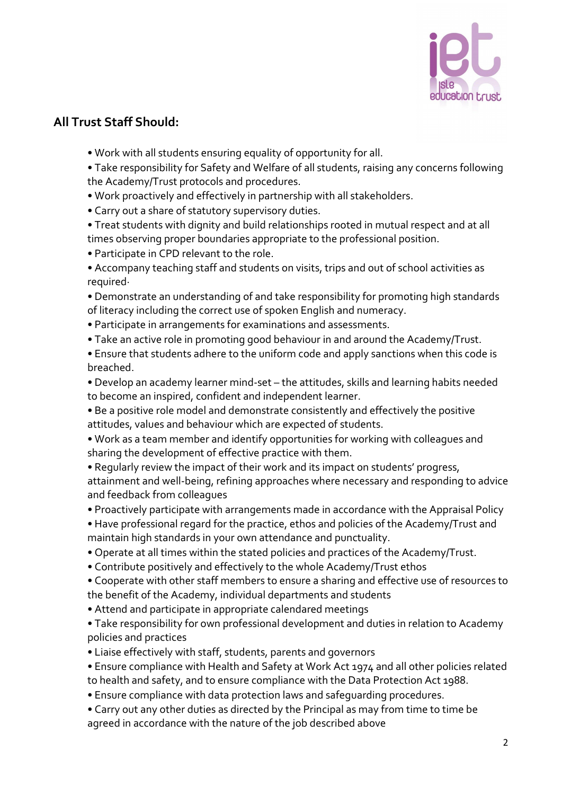

## **All Trust Staff Should:**

- Work with all students ensuring equality of opportunity for all.
- Take responsibility for Safety and Welfare of all students, raising any concerns following the Academy/Trust protocols and procedures.
- Work proactively and effectively in partnership with all stakeholders.
- Carry out a share of statutory supervisory duties.
- Treat students with dignity and build relationships rooted in mutual respect and at all times observing proper boundaries appropriate to the professional position.
- Participate in CPD relevant to the role.
- Accompany teaching staff and students on visits, trips and out of school activities as required·
- Demonstrate an understanding of and take responsibility for promoting high standards of literacy including the correct use of spoken English and numeracy.
- Participate in arrangements for examinations and assessments.
- Take an active role in promoting good behaviour in and around the Academy/Trust.
- Ensure that students adhere to the uniform code and apply sanctions when this code is breached.
- Develop an academy learner mind-set the attitudes, skills and learning habits needed to become an inspired, confident and independent learner.
- Be a positive role model and demonstrate consistently and effectively the positive attitudes, values and behaviour which are expected of students.
- Work as a team member and identify opportunities for working with colleagues and sharing the development of effective practice with them.
- Regularly review the impact of their work and its impact on students' progress,

attainment and well-being, refining approaches where necessary and responding to advice and feedback from colleagues

- Proactively participate with arrangements made in accordance with the Appraisal Policy
- Have professional regard for the practice, ethos and policies of the Academy/Trust and maintain high standards in your own attendance and punctuality.
- Operate at all times within the stated policies and practices of the Academy/Trust.
- Contribute positively and effectively to the whole Academy/Trust ethos
- Cooperate with other staff members to ensure a sharing and effective use of resources to the benefit of the Academy, individual departments and students
- Attend and participate in appropriate calendared meetings
- Take responsibility for own professional development and duties in relation to Academy policies and practices
- Liaise effectively with staff, students, parents and governors
- Ensure compliance with Health and Safety at Work Act 1974 and all other policies related to health and safety, and to ensure compliance with the Data Protection Act 1988.
- Ensure compliance with data protection laws and safeguarding procedures.
- Carry out any other duties as directed by the Principal as may from time to time be agreed in accordance with the nature of the job described above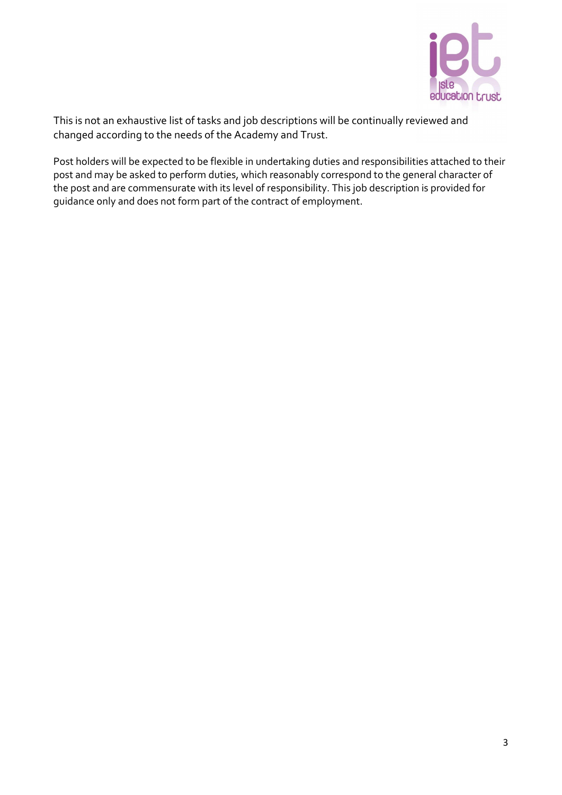

This is not an exhaustive list of tasks and job descriptions will be continually reviewed and changed according to the needs of the Academy and Trust.

Post holders will be expected to be flexible in undertaking duties and responsibilities attached to their post and may be asked to perform duties, which reasonably correspond to the general character of the post and are commensurate with its level of responsibility. This job description is provided for guidance only and does not form part of the contract of employment.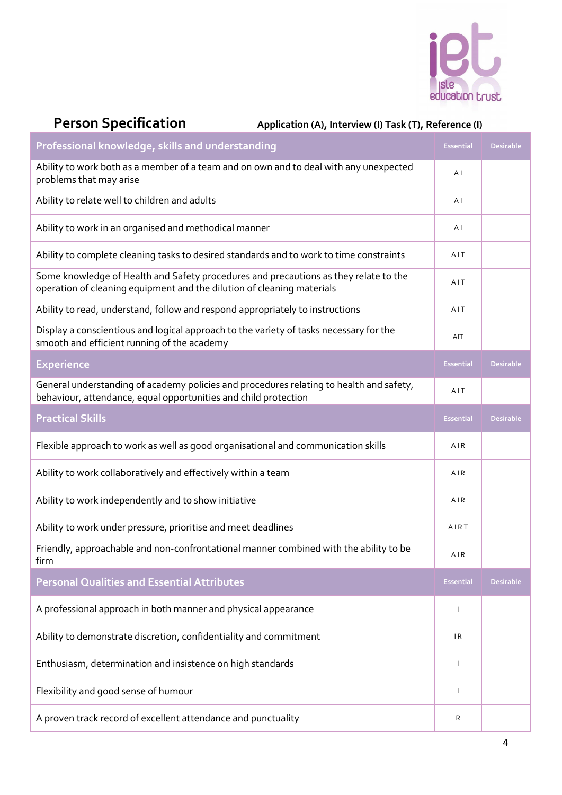

# Person Specification Application (A), Interview (I) Task (T), Reference (I)

| Professional knowledge, skills and understanding                                                                                                               | <b>Essential</b> | <b>Desirable</b> |
|----------------------------------------------------------------------------------------------------------------------------------------------------------------|------------------|------------------|
| Ability to work both as a member of a team and on own and to deal with any unexpected<br>problems that may arise                                               |                  |                  |
| Ability to relate well to children and adults                                                                                                                  |                  |                  |
| Ability to work in an organised and methodical manner                                                                                                          |                  |                  |
| Ability to complete cleaning tasks to desired standards and to work to time constraints                                                                        | AIT              |                  |
| Some knowledge of Health and Safety procedures and precautions as they relate to the<br>operation of cleaning equipment and the dilution of cleaning materials |                  |                  |
| Ability to read, understand, follow and respond appropriately to instructions                                                                                  | AIT              |                  |
| Display a conscientious and logical approach to the variety of tasks necessary for the<br>smooth and efficient running of the academy                          | AIT              |                  |
| <b>Experience</b>                                                                                                                                              | <b>Essential</b> | <b>Desirable</b> |
| General understanding of academy policies and procedures relating to health and safety,<br>behaviour, attendance, equal opportunities and child protection     | AIT              |                  |
| <b>Practical Skills</b>                                                                                                                                        | <b>Essential</b> | <b>Desirable</b> |
| Flexible approach to work as well as good organisational and communication skills                                                                              | AIR              |                  |
| Ability to work collaboratively and effectively within a team                                                                                                  |                  |                  |
| Ability to work independently and to show initiative                                                                                                           | AIR              |                  |
| Ability to work under pressure, prioritise and meet deadlines                                                                                                  | AIRT             |                  |
| Friendly, approachable and non-confrontational manner combined with the ability to be<br>tirm                                                                  | AIR              |                  |
| <b>Personal Qualities and Essential Attributes</b>                                                                                                             | <b>Essential</b> | <b>Desirable</b> |
| A professional approach in both manner and physical appearance                                                                                                 |                  |                  |
| Ability to demonstrate discretion, confidentiality and commitment                                                                                              |                  |                  |
| Enthusiasm, determination and insistence on high standards                                                                                                     |                  |                  |
| Flexibility and good sense of humour                                                                                                                           |                  |                  |
| A proven track record of excellent attendance and punctuality                                                                                                  | R                |                  |